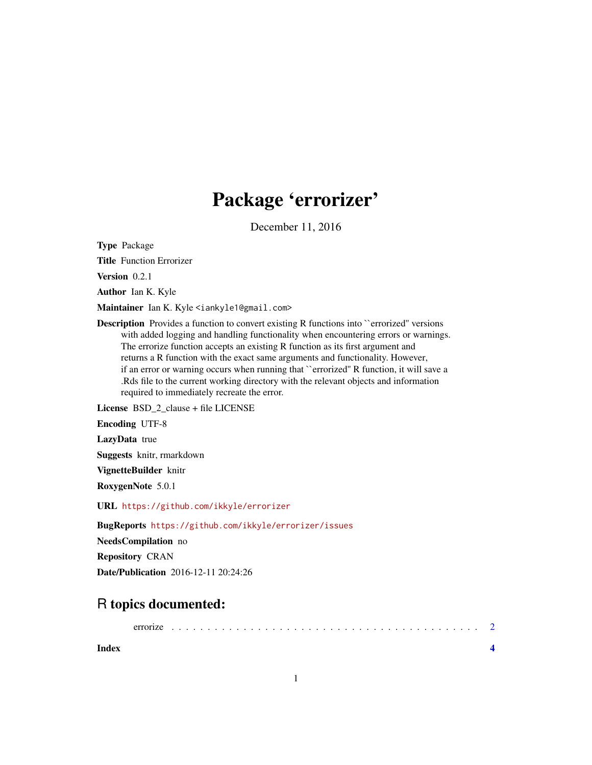## Package 'errorizer'

December 11, 2016

<span id="page-0-0"></span>Type Package

Title Function Errorizer

Version 0.2.1

Author Ian K. Kyle

Maintainer Ian K. Kyle <iankyle1@gmail.com>

**Description** Provides a function to convert existing R functions into "errorized" versions with added logging and handling functionality when encountering errors or warnings. The errorize function accepts an existing R function as its first argument and returns a R function with the exact same arguments and functionality. However, if an error or warning occurs when running that ``errorized'' R function, it will save a .Rds file to the current working directory with the relevant objects and information required to immediately recreate the error.

License BSD\_2\_clause + file LICENSE

Encoding UTF-8

LazyData true

Suggests knitr, rmarkdown

VignetteBuilder knitr

RoxygenNote 5.0.1

URL <https://github.com/ikkyle/errorizer>

BugReports <https://github.com/ikkyle/errorizer/issues>

NeedsCompilation no

Repository CRAN

Date/Publication 2016-12-11 20:24:26

### R topics documented:

| errorize |  |  |  |  |  |  |  |  |  |  |  |  |  |  |  |  |  |  |  |  |  |  |  |
|----------|--|--|--|--|--|--|--|--|--|--|--|--|--|--|--|--|--|--|--|--|--|--|--|
|          |  |  |  |  |  |  |  |  |  |  |  |  |  |  |  |  |  |  |  |  |  |  |  |

**Index** [4](#page-3-0)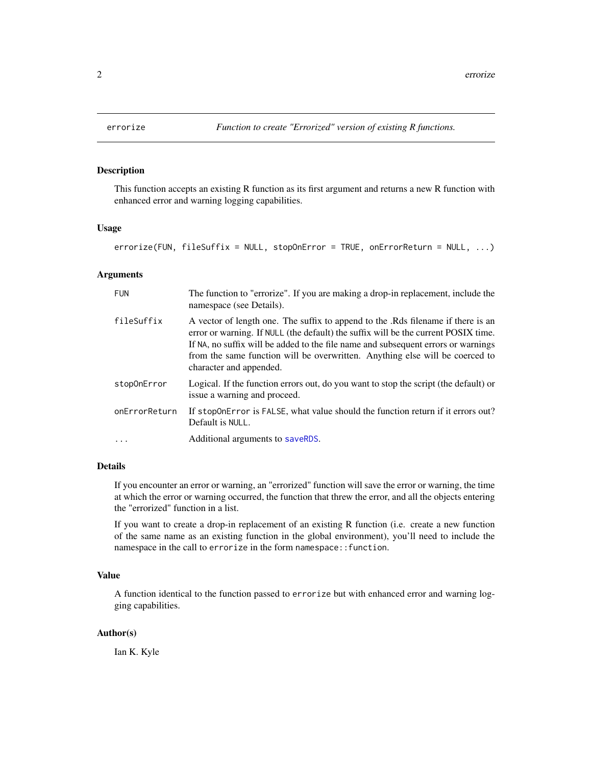#### Description

This function accepts an existing R function as its first argument and returns a new R function with enhanced error and warning logging capabilities.

#### Usage

```
errorize(FUN, fileSuffix = NULL, stopOnError = TRUE, onErrorReturn = NULL, ...)
```
#### Arguments

| <b>FUN</b>    | The function to "errorize". If you are making a drop-in replacement, include the<br>namespace (see Details).                                                                                                                                                                                                                                                          |
|---------------|-----------------------------------------------------------------------------------------------------------------------------------------------------------------------------------------------------------------------------------------------------------------------------------------------------------------------------------------------------------------------|
| fileSuffix    | A vector of length one. The suffix to append to the Rds filename if there is an<br>error or warning. If NULL (the default) the suffix will be the current POSIX time.<br>If NA, no suffix will be added to the file name and subsequent errors or warnings<br>from the same function will be overwritten. Anything else will be coerced to<br>character and appended. |
| stop0nError   | Logical. If the function errors out, do you want to stop the script (the default) or<br>issue a warning and proceed.                                                                                                                                                                                                                                                  |
| onErrorReturn | If stopOnError is FALSE, what value should the function return if it errors out?<br>Default is NULL.                                                                                                                                                                                                                                                                  |
| $\ddotsc$     | Additional arguments to saveRDS.                                                                                                                                                                                                                                                                                                                                      |

#### Details

If you encounter an error or warning, an "errorized" function will save the error or warning, the time at which the error or warning occurred, the function that threw the error, and all the objects entering the "errorized" function in a list.

If you want to create a drop-in replacement of an existing R function (i.e. create a new function of the same name as an existing function in the global environment), you'll need to include the namespace in the call to errorize in the form namespace::function.

#### Value

A function identical to the function passed to errorize but with enhanced error and warning logging capabilities.

#### Author(s)

Ian K. Kyle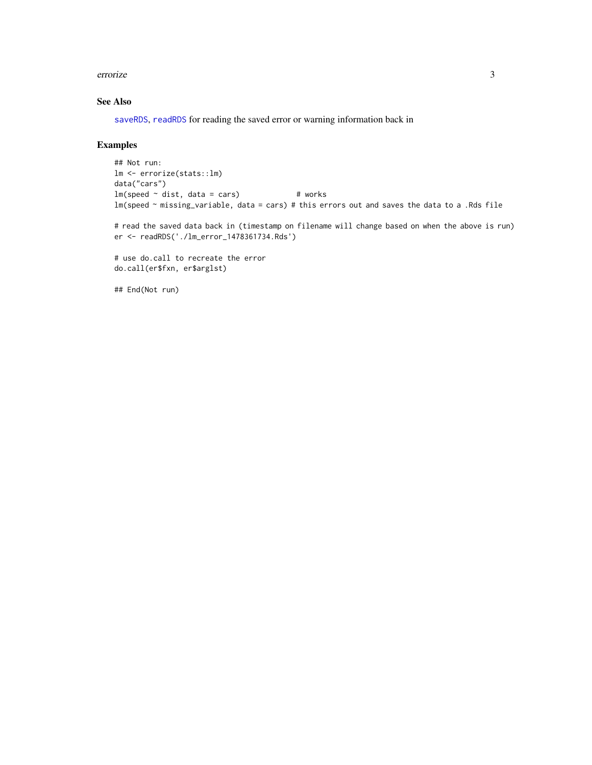#### <span id="page-2-0"></span>errorize 3

#### See Also

[saveRDS](#page-0-0), [readRDS](#page-0-0) for reading the saved error or warning information back in

#### Examples

```
## Not run:
lm <- errorize(stats::lm)
data("cars")
lm(speed ~ dist, data = cars) # works
lm(speed ~ missing_variable, data = cars) # this errors out and saves the data to a .Rds file
```
# read the saved data back in (timestamp on filename will change based on when the above is run) er <- readRDS('./lm\_error\_1478361734.Rds')

# use do.call to recreate the error do.call(er\$fxn, er\$arglst)

## End(Not run)